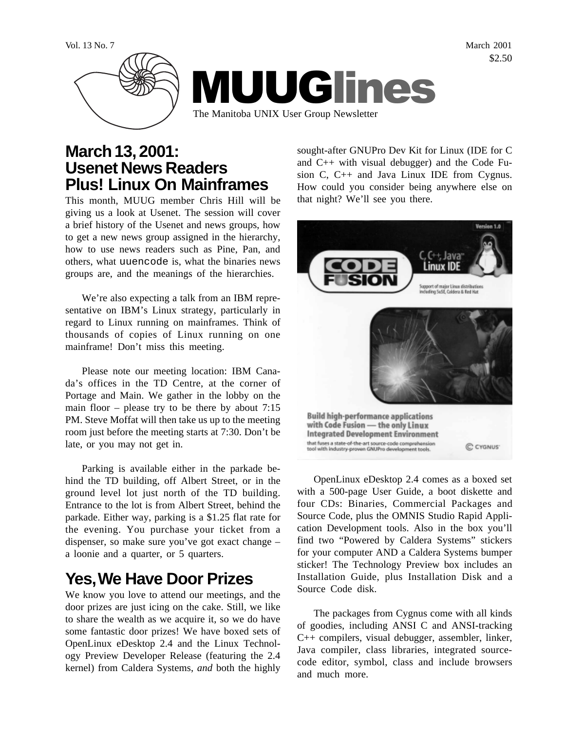Vol. 13 No. 7 March 2001 \$2.50



#### **March 13, 2001: Usenet News Readers Plus! Linux On Mainframes**

This month, MUUG member Chris Hill will be giving us a look at Usenet. The session will cover a brief history of the Usenet and news groups, how to get a new news group assigned in the hierarchy, how to use news readers such as Pine, Pan, and others, what uuencode is, what the binaries news groups are, and the meanings of the hierarchies.

We're also expecting a talk from an IBM representative on IBM's Linux strategy, particularly in regard to Linux running on mainframes. Think of thousands of copies of Linux running on one mainframe! Don't miss this meeting.

Please note our meeting location: IBM Canada's offices in the TD Centre, at the corner of Portage and Main. We gather in the lobby on the main floor – please try to be there by about 7:15 PM. Steve Moffat will then take us up to the meeting room just before the meeting starts at 7:30. Don't be late, or you may not get in.

Parking is available either in the parkade behind the TD building, off Albert Street, or in the ground level lot just north of the TD building. Entrance to the lot is from Albert Street, behind the parkade. Either way, parking is a \$1.25 flat rate for the evening. You purchase your ticket from a dispenser, so make sure you've got exact change – a loonie and a quarter, or 5 quarters.

# **Yes, We Have Door Prizes**

We know you love to attend our meetings, and the door prizes are just icing on the cake. Still, we like to share the wealth as we acquire it, so we do have some fantastic door prizes! We have boxed sets of OpenLinux eDesktop 2.4 and the Linux Technology Preview Developer Release (featuring the 2.4 kernel) from Caldera Systems, *and* both the highly

sought-after GNUPro Dev Kit for Linux (IDE for C and C++ with visual debugger) and the Code Fusion C, C++ and Java Linux IDE from Cygnus. How could you consider being anywhere else on that night? We'll see you there.



OpenLinux eDesktop 2.4 comes as a boxed set with a 500-page User Guide, a boot diskette and four CDs: Binaries, Commercial Packages and Source Code, plus the OMNIS Studio Rapid Application Development tools. Also in the box you'll find two "Powered by Caldera Systems" stickers for your computer AND a Caldera Systems bumper sticker! The Technology Preview box includes an Installation Guide, plus Installation Disk and a Source Code disk.

The packages from Cygnus come with all kinds of goodies, including ANSI C and ANSI-tracking C++ compilers, visual debugger, assembler, linker, Java compiler, class libraries, integrated sourcecode editor, symbol, class and include browsers and much more.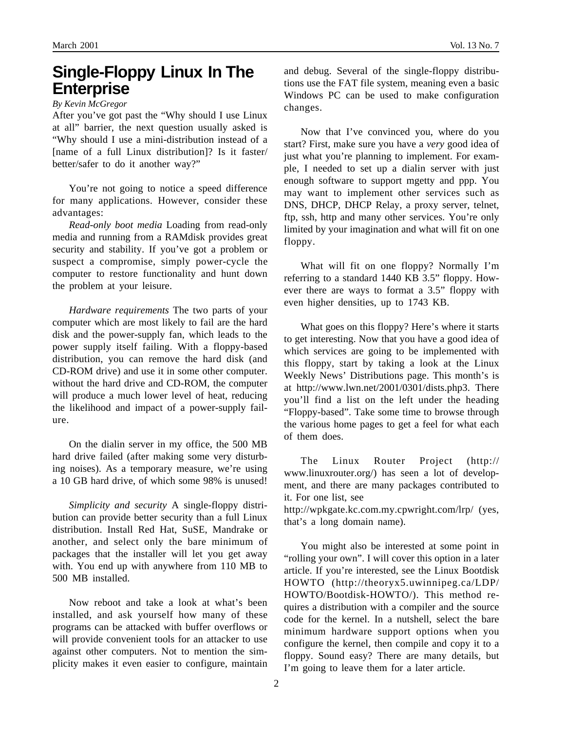# **Single-Floppy Linux In The Enterprise**

*By Kevin McGregor*

After you've got past the "Why should I use Linux at all" barrier, the next question usually asked is "Why should I use a mini-distribution instead of a [name of a full Linux distribution]? Is it faster/ better/safer to do it another way?"

You're not going to notice a speed difference for many applications. However, consider these advantages:

*Read-only boot media* Loading from read-only media and running from a RAMdisk provides great security and stability. If you've got a problem or suspect a compromise, simply power-cycle the computer to restore functionality and hunt down the problem at your leisure.

*Hardware requirements* The two parts of your computer which are most likely to fail are the hard disk and the power-supply fan, which leads to the power supply itself failing. With a floppy-based distribution, you can remove the hard disk (and CD-ROM drive) and use it in some other computer. without the hard drive and CD-ROM, the computer will produce a much lower level of heat, reducing the likelihood and impact of a power-supply failure.

On the dialin server in my office, the 500 MB hard drive failed (after making some very disturbing noises). As a temporary measure, we're using a 10 GB hard drive, of which some 98% is unused!

*Simplicity and security* A single-floppy distribution can provide better security than a full Linux distribution. Install Red Hat, SuSE, Mandrake or another, and select only the bare minimum of packages that the installer will let you get away with. You end up with anywhere from 110 MB to 500 MB installed.

Now reboot and take a look at what's been installed, and ask yourself how many of these programs can be attacked with buffer overflows or will provide convenient tools for an attacker to use against other computers. Not to mention the simplicity makes it even easier to configure, maintain

and debug. Several of the single-floppy distributions use the FAT file system, meaning even a basic Windows PC can be used to make configuration changes.

Now that I've convinced you, where do you start? First, make sure you have a *very* good idea of just what you're planning to implement. For example, I needed to set up a dialin server with just enough software to support mgetty and ppp. You may want to implement other services such as DNS, DHCP, DHCP Relay, a proxy server, telnet, ftp, ssh, http and many other services. You're only limited by your imagination and what will fit on one floppy.

What will fit on one floppy? Normally I'm referring to a standard 1440 KB 3.5" floppy. However there are ways to format a 3.5" floppy with even higher densities, up to 1743 KB.

What goes on this floppy? Here's where it starts to get interesting. Now that you have a good idea of which services are going to be implemented with this floppy, start by taking a look at the Linux Weekly News' Distributions page. This month's is at http://www.lwn.net/2001/0301/dists.php3. There you'll find a list on the left under the heading "Floppy-based". Take some time to browse through the various home pages to get a feel for what each of them does.

The Linux Router Project (http:// www.linuxrouter.org/) has seen a lot of development, and there are many packages contributed to it. For one list, see

http://wpkgate.kc.com.my.cpwright.com/lrp/ (yes, that's a long domain name).

You might also be interested at some point in "rolling your own". I will cover this option in a later article. If you're interested, see the Linux Bootdisk HOWTO (http://theoryx5.uwinnipeg.ca/LDP/ HOWTO/Bootdisk-HOWTO/). This method requires a distribution with a compiler and the source code for the kernel. In a nutshell, select the bare minimum hardware support options when you configure the kernel, then compile and copy it to a floppy. Sound easy? There are many details, but I'm going to leave them for a later article.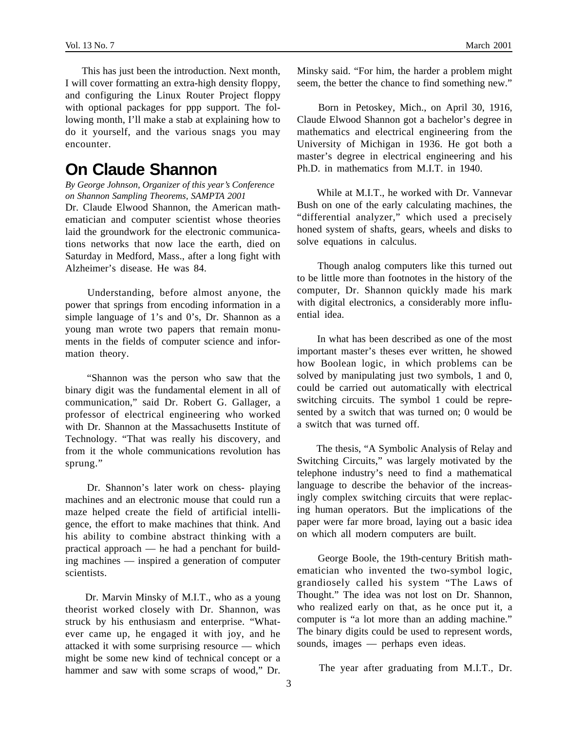This has just been the introduction. Next month, I will cover formatting an extra-high density floppy, and configuring the Linux Router Project floppy with optional packages for ppp support. The following month, I'll make a stab at explaining how to do it yourself, and the various snags you may encounter.

### **On Claude Shannon**

*By George Johnson, Organizer of this year's Conference on Shannon Sampling Theorems, SAMPTA 2001*

Dr. Claude Elwood Shannon, the American mathematician and computer scientist whose theories laid the groundwork for the electronic communications networks that now lace the earth, died on Saturday in Medford, Mass., after a long fight with Alzheimer's disease. He was 84.

 Understanding, before almost anyone, the power that springs from encoding information in a simple language of 1's and 0's, Dr. Shannon as a young man wrote two papers that remain monuments in the fields of computer science and information theory.

 "Shannon was the person who saw that the binary digit was the fundamental element in all of communication," said Dr. Robert G. Gallager, a professor of electrical engineering who worked with Dr. Shannon at the Massachusetts Institute of Technology. "That was really his discovery, and from it the whole communications revolution has sprung."

 Dr. Shannon's later work on chess- playing machines and an electronic mouse that could run a maze helped create the field of artificial intelligence, the effort to make machines that think. And his ability to combine abstract thinking with a practical approach — he had a penchant for building machines — inspired a generation of computer scientists.

 Dr. Marvin Minsky of M.I.T., who as a young theorist worked closely with Dr. Shannon, was struck by his enthusiasm and enterprise. "Whatever came up, he engaged it with joy, and he attacked it with some surprising resource — which might be some new kind of technical concept or a hammer and saw with some scraps of wood," Dr. Minsky said. "For him, the harder a problem might seem, the better the chance to find something new."

 Born in Petoskey, Mich., on April 30, 1916, Claude Elwood Shannon got a bachelor's degree in mathematics and electrical engineering from the University of Michigan in 1936. He got both a master's degree in electrical engineering and his Ph.D. in mathematics from M.I.T. in 1940.

 While at M.I.T., he worked with Dr. Vannevar Bush on one of the early calculating machines, the "differential analyzer," which used a precisely honed system of shafts, gears, wheels and disks to solve equations in calculus.

 Though analog computers like this turned out to be little more than footnotes in the history of the computer, Dr. Shannon quickly made his mark with digital electronics, a considerably more influential idea.

 In what has been described as one of the most important master's theses ever written, he showed how Boolean logic, in which problems can be solved by manipulating just two symbols, 1 and 0, could be carried out automatically with electrical switching circuits. The symbol 1 could be represented by a switch that was turned on; 0 would be a switch that was turned off.

 The thesis, "A Symbolic Analysis of Relay and Switching Circuits," was largely motivated by the telephone industry's need to find a mathematical language to describe the behavior of the increasingly complex switching circuits that were replacing human operators. But the implications of the paper were far more broad, laying out a basic idea on which all modern computers are built.

 George Boole, the 19th-century British mathematician who invented the two-symbol logic, grandiosely called his system "The Laws of Thought." The idea was not lost on Dr. Shannon, who realized early on that, as he once put it, a computer is "a lot more than an adding machine." The binary digits could be used to represent words, sounds, images — perhaps even ideas.

The year after graduating from M.I.T., Dr.